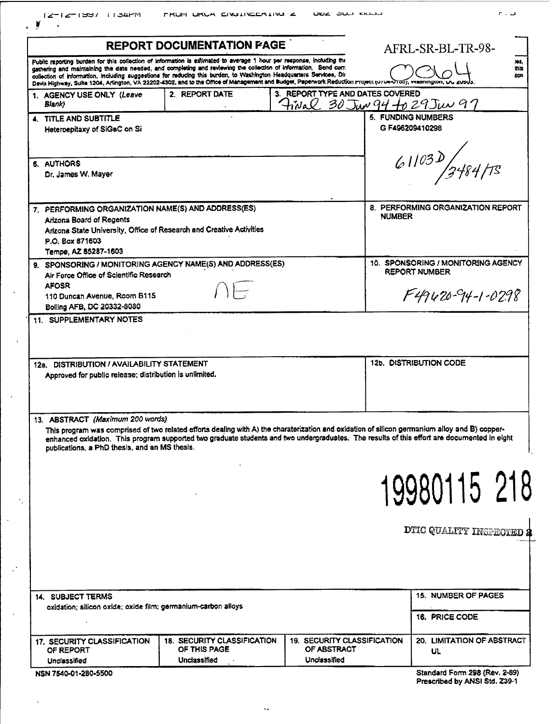| <b>REPORT DOCUMENTATION FAGE</b>                                                                                                                                                                                                                                                                                                                                |                                                                                                                                                                                                                                                                                              |                                                                   |                                                            | AFRL-SR-BL-TR-98-                                                                        |  |  |
|-----------------------------------------------------------------------------------------------------------------------------------------------------------------------------------------------------------------------------------------------------------------------------------------------------------------------------------------------------------------|----------------------------------------------------------------------------------------------------------------------------------------------------------------------------------------------------------------------------------------------------------------------------------------------|-------------------------------------------------------------------|------------------------------------------------------------|------------------------------------------------------------------------------------------|--|--|
| Public reporting burden for this collection of information is estimated to average 1 hour per response, including the<br>gathering and maintaining the data needed, and completing and reviewing the collection of information. Send com<br>collection of information, including suggestions for reducing this burden, to Washington Headquarters Services, Dir |                                                                                                                                                                                                                                                                                              |                                                                   | 195,<br>this                                               |                                                                                          |  |  |
|                                                                                                                                                                                                                                                                                                                                                                 | Davis Highway, Suite 1204, Arlington, VA 22202-4302, and to the Office of Management and Budget, Paperwork Reduction Project (U/Us-2100), vvasmington, UV                                                                                                                                    |                                                                   |                                                            | son                                                                                      |  |  |
| 1. AGENCY USE ONLY (Leave                                                                                                                                                                                                                                                                                                                                       | 2. REPORT DATE                                                                                                                                                                                                                                                                               | 3. REPORT TYPE AND DATES COVERED                                  |                                                            |                                                                                          |  |  |
| Blank)                                                                                                                                                                                                                                                                                                                                                          |                                                                                                                                                                                                                                                                                              | $H$ ival 30 Jun 94 fo 29 Jun 97                                   |                                                            |                                                                                          |  |  |
| 4. TITLE AND SUBTITLE<br>Heteroepitaxy of SiGeC on Si                                                                                                                                                                                                                                                                                                           |                                                                                                                                                                                                                                                                                              |                                                                   | <b>5. FUNDING NUMBERS</b><br>G F496209410298               |                                                                                          |  |  |
| 6. AUTHORS<br>Dr. James W. Mayer                                                                                                                                                                                                                                                                                                                                |                                                                                                                                                                                                                                                                                              |                                                                   | 61103D/3484/73                                             |                                                                                          |  |  |
| 7. PERFORMING ORGANIZATION NAME(S) AND ADDRESS(ES)<br>Arizona Board of Regents                                                                                                                                                                                                                                                                                  |                                                                                                                                                                                                                                                                                              |                                                                   | <b>NUMBER</b>                                              | 8. PERFORMING ORGANIZATION REPORT                                                        |  |  |
| Arizona State University, Office of Research and Creative Activities<br>P.O. Box 871603<br>Tempe, AZ 85287-1603                                                                                                                                                                                                                                                 |                                                                                                                                                                                                                                                                                              |                                                                   |                                                            |                                                                                          |  |  |
| 9. SPONSORING / MONITORING AGENCY NAME(S) AND ADDRESS(ES)<br>Air Force Office of Scientific Research                                                                                                                                                                                                                                                            |                                                                                                                                                                                                                                                                                              |                                                                   | 10. SPONSORING / MONITORING AGENCY<br><b>REPORT NUMBER</b> |                                                                                          |  |  |
| <b>AFOSR</b><br>$\overline{\phantom{a}}$<br>110 Duncan Avenue, Room B115<br>Bolling AFB, DC 20332-8080                                                                                                                                                                                                                                                          |                                                                                                                                                                                                                                                                                              |                                                                   |                                                            | $F49420 - 94 - 1 - 0298$                                                                 |  |  |
|                                                                                                                                                                                                                                                                                                                                                                 |                                                                                                                                                                                                                                                                                              |                                                                   | 12b. DISTRIBUTION CODE                                     |                                                                                          |  |  |
| 12a. DISTRIBUTION / AVAILABILITY STATEMENT<br>Approved for public release; distribution is unlimited.                                                                                                                                                                                                                                                           |                                                                                                                                                                                                                                                                                              |                                                                   |                                                            |                                                                                          |  |  |
| publications, a PhD thesis, and an MS thesis.                                                                                                                                                                                                                                                                                                                   | This program was comprised of two related efforts dealing with A) the charaterization and oxidation of silicon germanium alloy and B) copper-<br>enhanced oxidation. This program supported two graduate students and two undergraduates. The results of this effort are documented in eight |                                                                   |                                                            |                                                                                          |  |  |
|                                                                                                                                                                                                                                                                                                                                                                 |                                                                                                                                                                                                                                                                                              |                                                                   |                                                            |                                                                                          |  |  |
| 13. ABSTRACT (Maximum 200 words)                                                                                                                                                                                                                                                                                                                                |                                                                                                                                                                                                                                                                                              |                                                                   |                                                            |                                                                                          |  |  |
|                                                                                                                                                                                                                                                                                                                                                                 |                                                                                                                                                                                                                                                                                              |                                                                   |                                                            |                                                                                          |  |  |
| 14. SUBJECT TERMS<br>oxidation; silicon oxide; oxide film; germanium-carbon alloys                                                                                                                                                                                                                                                                              |                                                                                                                                                                                                                                                                                              |                                                                   |                                                            | 19980115 218<br>DTIC QUALITY INSPECTED 2<br><b>15. NUMBER OF PAGES</b><br>16. PRICE CODE |  |  |
| 17. SECURITY CLASSIFICATION<br>OF REPORT                                                                                                                                                                                                                                                                                                                        | <b>18. SECURITY CLASSIFICATION</b><br>OF THIS PAGE<br>Unclassified                                                                                                                                                                                                                           | <b>19. SECURITY CLASSIFICATION</b><br>OF ABSTRACT<br>Unclassified |                                                            | 20. LIMITATION OF ABSTRACT<br>UL                                                         |  |  |

 $\ddot{\phantom{0}}$ 

 $\ddot{\phantom{1}}$ 

 $\ddot{\phantom{a}}$ 

 $\bar{\mathcal{A}}$ 

Ŷ,

 $\ddot{\phantom{0}}$ 

 $\mathcal{L}^{\frac{1}{2}}$ 

 $\ddot{\phantom{0}}$ 

 $\ddot{\phantom{0}}$ 

| Standard Form 298 (Rev. 2-89) |  |  |
|-------------------------------|--|--|
| Prescribed by ANSI Std. Z39-1 |  |  |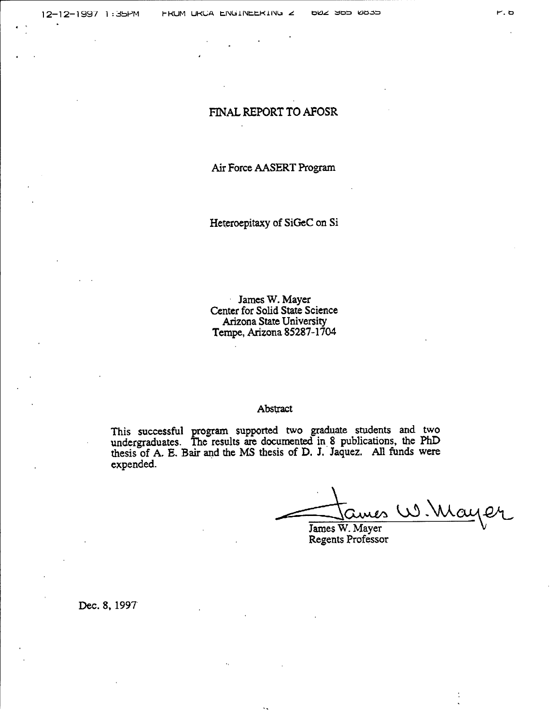# FINAL REPORT TO AFOSR

### Air Force AASERT Program

Heteroepitaxy of SiGeC on Si

James W. Mayer  $\epsilon$  . Center for Solid State Science Arizona State University Tempe, Arizona 85287-1704

#### Abstract

This successful program supported two graduate students and two undergraduates. The results are documented in 8 publications, the PhD thesis of A. E. Bair and the MS thesis of D. J. Jaquez. All funds were expended.

 $\frac{1}{2}$  ames W. Mayer

James W. Mayer Regents Professor

Dec. 8, 1997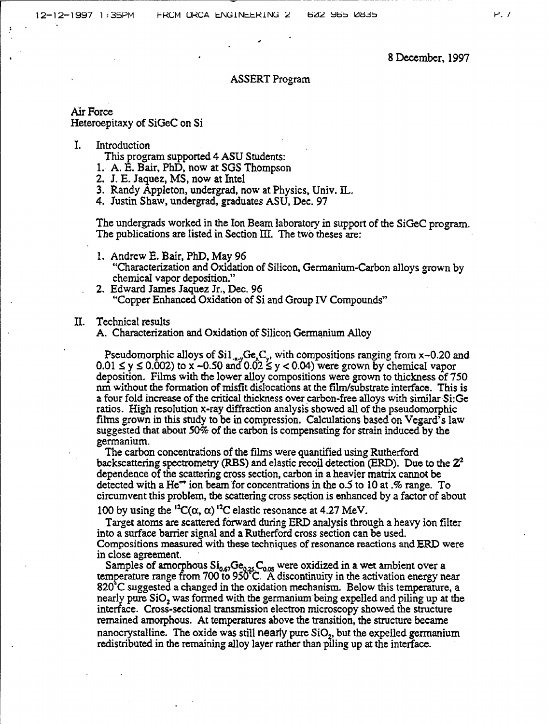8 December, 1997

#### ASSERT Program

# Air Force Heteroepitaxy of SiGeC on Si

### I. Introduction

This program supported 4 ASU Students:

- 1. A. E. Bair, PhD, now at SGS Thompson
- 2. J. E. Jaquez, MS, now at Intel
- 3. Randy Appleton, undergrad, now at Physics, Univ. IL.
- 4. Justin Shaw, undergrad, graduates ASU, Dec. 97

The undergrads worked in the Ion Beam laboratory in support of the SiGeC program. The publications are listed in Section HI. The two theses are:

- 1. Andrew E. Bair, PhD, May 96 "Characterization and Oxidation of Silicon, Germanium-Carbon alloys grown by chemical vapor deposition."
- 2. Edward James Jaquez Jr., Dec. 96 "Copper Enhanced Oxidation of Si and Group IV Compounds"

### II. Technical results

A. Characterization and Oxidation of Silicon Germanium Alloy

Pseudomorphic alloys of  $Si1_{x,y}Ge_xC_y$ , with compositions ranging from x~0.20 and  $0.01 \le y \le 0.002$ ) to x ~0.50 and  $0.02 \le y < 0.04$ ) were grown by chemical vapor deposition. Films with the lower alloy compositions were grown to thickness of 750 nm without the formation of misfit dislocations at the film/substrate interface. This is a four fold increase of the critical thickness over carbon-free alloys with similar Si:Ge ratios. High resolution x-ray diffraction analysis showed all of the pseudomorphic films grown in this study to be in compression. Calculations based on Vegard's law suggested that about 50% of the carbon is compensating for strain induced by the germanium.

The carbon concentrations of the films were quantified using Rutherford backscattering spectrometry (RBS) and elastic recoil detection (ERD). Due to the  $Z^2$ dependence ofthe scattering cross section, carbon in a heavier matrix cannot be detected with a He<sup> $\leftrightarrow$ </sup> ion beam for concentrations in the o.5 to 10 at .% range. To circumvent this problem, the scattering cross section is enhanced by a factor of about

100 by using the <sup>12</sup>C( $\alpha$ ,  $\alpha$ )<sup>12</sup>C elastic resonance at 4.27 MeV.

Target atoms are scattered forward during ERD analysis through a heavy ion filter into a surface barrier signal and a Rutherford cross section can be used. Compositions measured with these techniques of resonance reactions and ERD were in close agreement.

Samples of amorphous  $\operatorname{Si_{0.67}Ge_{0.25}C_{0.05}}$  were oxidized in a wet ambient over a temperature range from 700 to 950 C. A discontinuity in the activation energy near 820\*C suggested a changed in the oxidation mechanism. Below this temperature, a nearly pure SiO, was formed with the germanium being expelled and piling up at the interface. Cross-sectional transmission electron microscopy showed the structure remained amorphous. At temperatures above the transition, the structure became nanocrystalline. The oxide was still nearly pure  $SiO<sub>2</sub>$ , but the expelled germanium redistributed in the remaining alloy layer rather than piling up at the interface.